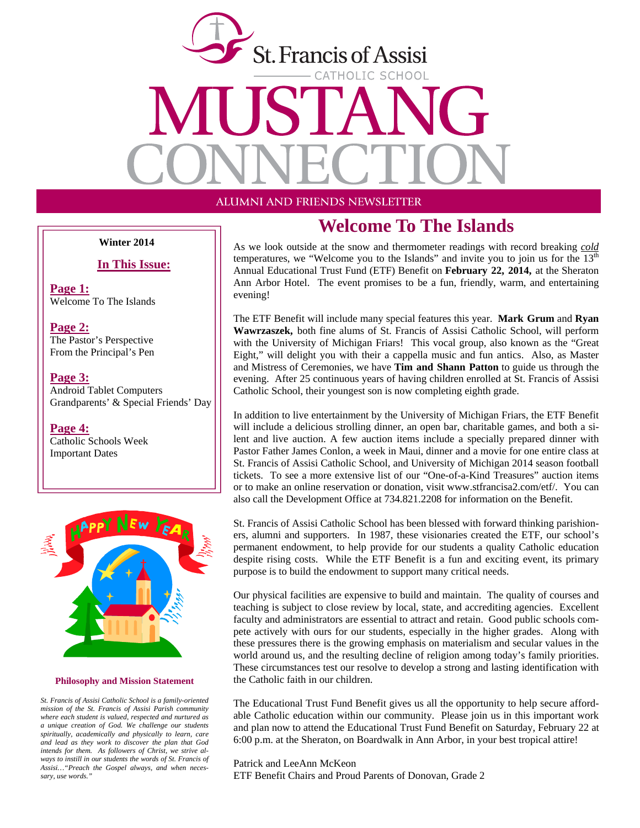

**Winter 2014** 

#### **In This Issue:**

**Page 1:** Welcome To The Islands

**Page 2:** The Pastor's Perspective From the Principal's Pen

**Page 3:** Android Tablet Computers Grandparents' & Special Friends' Day

**Page 4:**

Catholic Schools Week Important Dates



#### **Philosophy and Mission Statement**

*St. Francis of Assisi Catholic School is a family-oriented mission of the St. Francis of Assisi Parish community where each student is valued, respected and nurtured as a unique creation of God. We challenge our students spiritually, academically and physically to learn, care and lead as they work to discover the plan that God intends for them. As followers of Christ, we strive always to instill in our students the words of St. Francis of Assisi…"Preach the Gospel always, and when necessary, use words."* 

### **Welcome To The Islands**

As we look outside at the snow and thermometer readings with record breaking *cold* temperatures, we "Welcome you to the Islands" and invite you to join us for the  $13<sup>th</sup>$ Annual Educational Trust Fund (ETF) Benefit on **February 22, 2014,** at the Sheraton Ann Arbor Hotel. The event promises to be a fun, friendly, warm, and entertaining evening!

The ETF Benefit will include many special features this year. **Mark Grum** and **Ryan Wawrzaszek,** both fine alums of St. Francis of Assisi Catholic School, will perform with the University of Michigan Friars! This vocal group, also known as the "Great Eight," will delight you with their a cappella music and fun antics. Also, as Master and Mistress of Ceremonies, we have **Tim and Shann Patton** to guide us through the evening. After 25 continuous years of having children enrolled at St. Francis of Assisi Catholic School, their youngest son is now completing eighth grade.

In addition to live entertainment by the University of Michigan Friars, the ETF Benefit will include a delicious strolling dinner, an open bar, charitable games, and both a silent and live auction. A few auction items include a specially prepared dinner with Pastor Father James Conlon, a week in Maui, dinner and a movie for one entire class at St. Francis of Assisi Catholic School, and University of Michigan 2014 season football tickets. To see a more extensive list of our "One-of-a-Kind Treasures" auction items or to make an online reservation or donation, visit www.stfrancisa2.com/etf/. You can also call the Development Office at 734.821.2208 for information on the Benefit.

St. Francis of Assisi Catholic School has been blessed with forward thinking parishioners, alumni and supporters. In 1987, these visionaries created the ETF, our school's permanent endowment, to help provide for our students a quality Catholic education despite rising costs. While the ETF Benefit is a fun and exciting event, its primary purpose is to build the endowment to support many critical needs.

Our physical facilities are expensive to build and maintain. The quality of courses and teaching is subject to close review by local, state, and accrediting agencies. Excellent faculty and administrators are essential to attract and retain. Good public schools compete actively with ours for our students, especially in the higher grades. Along with these pressures there is the growing emphasis on materialism and secular values in the world around us, and the resulting decline of religion among today's family priorities. These circumstances test our resolve to develop a strong and lasting identification with the Catholic faith in our children.

The Educational Trust Fund Benefit gives us all the opportunity to help secure affordable Catholic education within our community. Please join us in this important work and plan now to attend the Educational Trust Fund Benefit on Saturday, February 22 at 6:00 p.m. at the Sheraton, on Boardwalk in Ann Arbor, in your best tropical attire!

Patrick and LeeAnn McKeon ETF Benefit Chairs and Proud Parents of Donovan, Grade 2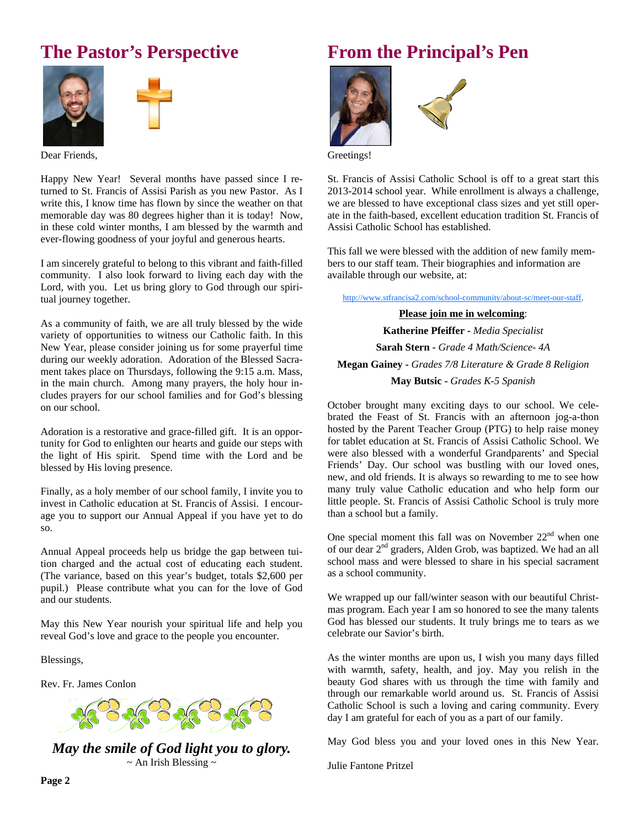# **The Pastor's Perspective**





Dear Friends,

Happy New Year! Several months have passed since I returned to St. Francis of Assisi Parish as you new Pastor. As I write this, I know time has flown by since the weather on that memorable day was 80 degrees higher than it is today! Now, in these cold winter months, I am blessed by the warmth and ever-flowing goodness of your joyful and generous hearts.

I am sincerely grateful to belong to this vibrant and faith-filled community. I also look forward to living each day with the Lord, with you. Let us bring glory to God through our spiritual journey together.

As a community of faith, we are all truly blessed by the wide variety of opportunities to witness our Catholic faith. In this New Year, please consider joining us for some prayerful time during our weekly adoration. Adoration of the Blessed Sacrament takes place on Thursdays, following the 9:15 a.m. Mass, in the main church. Among many prayers, the holy hour includes prayers for our school families and for God's blessing on our school.

Adoration is a restorative and grace-filled gift. It is an opportunity for God to enlighten our hearts and guide our steps with the light of His spirit. Spend time with the Lord and be blessed by His loving presence.

Finally, as a holy member of our school family, I invite you to invest in Catholic education at St. Francis of Assisi. I encourage you to support our Annual Appeal if you have yet to do so.

Annual Appeal proceeds help us bridge the gap between tuition charged and the actual cost of educating each student. (The variance, based on this year's budget, totals \$2,600 per pupil.) Please contribute what you can for the love of God and our students.

May this New Year nourish your spiritual life and help you reveal God's love and grace to the people you encounter.

Blessings,

Rev. Fr. James Conlon



*May the smile of God light you to glory.*   $\sim$  An Irish Blessing  $\sim$ 

# **From the Principal's Pen**





Greetings!

St. Francis of Assisi Catholic School is off to a great start this 2013-2014 school year. While enrollment is always a challenge, we are blessed to have exceptional class sizes and yet still operate in the faith-based, excellent education tradition St. Francis of Assisi Catholic School has established.

This fall we were blessed with the addition of new family members to our staff team. Their biographies and information are available through our website, at:

http://www.stfrancisa2.com/school-community/about-sc/meet-our-staff.

**Please join me in welcoming**: **Katherine Pfeiffer -** *Media Specialist*  **Sarah Stern -** *Grade 4 Math/Science- 4A*  **Megan Gainey -** *Grades 7/8 Literature & Grade 8 Religion*  **May Butsic -** *Grades K-5 Spanish* 

October brought many exciting days to our school. We celebrated the Feast of St. Francis with an afternoon jog-a-thon hosted by the Parent Teacher Group (PTG) to help raise money for tablet education at St. Francis of Assisi Catholic School. We were also blessed with a wonderful Grandparents' and Special Friends' Day. Our school was bustling with our loved ones, new, and old friends. It is always so rewarding to me to see how many truly value Catholic education and who help form our little people. St. Francis of Assisi Catholic School is truly more than a school but a family.

One special moment this fall was on November  $22<sup>nd</sup>$  when one of our dear 2nd graders, Alden Grob, was baptized. We had an all school mass and were blessed to share in his special sacrament as a school community.

We wrapped up our fall/winter season with our beautiful Christmas program. Each year I am so honored to see the many talents God has blessed our students. It truly brings me to tears as we celebrate our Savior's birth.

As the winter months are upon us, I wish you many days filled with warmth, safety, health, and joy. May you relish in the beauty God shares with us through the time with family and through our remarkable world around us. St. Francis of Assisi Catholic School is such a loving and caring community. Every day I am grateful for each of you as a part of our family.

May God bless you and your loved ones in this New Year.

Julie Fantone Pritzel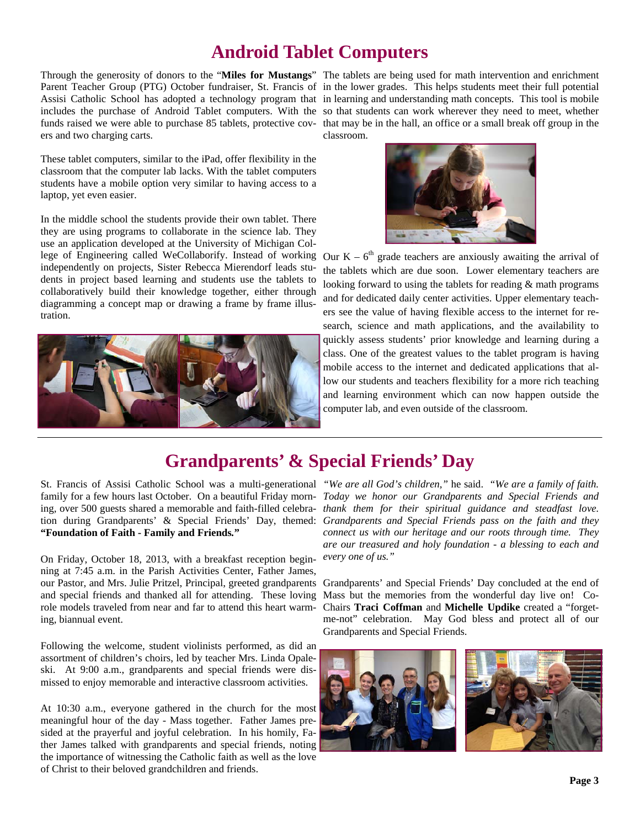### **Android Tablet Computers**

ers and two charging carts.

These tablet computers, similar to the iPad, offer flexibility in the classroom that the computer lab lacks. With the tablet computers students have a mobile option very similar to having access to a laptop, yet even easier.

In the middle school the students provide their own tablet. There they are using programs to collaborate in the science lab. They use an application developed at the University of Michigan College of Engineering called WeCollaborify. Instead of working Our  $K - 6<sup>th</sup>$  grade teachers are anxiously awaiting the arrival of independently on projects, Sister Rebecca Mierendorf leads students in project based learning and students use the tablets to collaboratively build their knowledge together, either through diagramming a concept map or drawing a frame by frame illustration.



Through the generosity of donors to the "**Miles for Mustangs**" The tablets are being used for math intervention and enrichment Parent Teacher Group (PTG) October fundraiser, St. Francis of in the lower grades. This helps students meet their full potential Assisi Catholic School has adopted a technology program that in learning and understanding math concepts. This tool is mobile includes the purchase of Android Tablet computers. With the so that students can work wherever they need to meet, whether funds raised we were able to purchase 85 tablets, protective cov- that may be in the hall, an office or a small break off group in the classroom.



the tablets which are due soon. Lower elementary teachers are looking forward to using the tablets for reading & math programs and for dedicated daily center activities. Upper elementary teachers see the value of having flexible access to the internet for research, science and math applications, and the availability to quickly assess students' prior knowledge and learning during a class. One of the greatest values to the tablet program is having mobile access to the internet and dedicated applications that allow our students and teachers flexibility for a more rich teaching and learning environment which can now happen outside the computer lab, and even outside of the classroom.

## **Grandparents' & Special Friends' Day**

**"Foundation of Faith - Family and Friends***.***"** 

On Friday, October 18, 2013, with a breakfast reception beginning at 7:45 a.m. in the Parish Activities Center, Father James, our Pastor, and Mrs. Julie Pritzel, Principal, greeted grandparents Grandparents' and Special Friends' Day concluded at the end of and special friends and thanked all for attending. These loving role models traveled from near and far to attend this heart warming, biannual event.

Following the welcome, student violinists performed, as did an assortment of children's choirs, led by teacher Mrs. Linda Opaleski. At 9:00 a.m., grandparents and special friends were dismissed to enjoy memorable and interactive classroom activities.

At 10:30 a.m., everyone gathered in the church for the most meaningful hour of the day - Mass together. Father James presided at the prayerful and joyful celebration. In his homily, Father James talked with grandparents and special friends, noting the importance of witnessing the Catholic faith as well as the love of Christ to their beloved grandchildren and friends.

St. Francis of Assisi Catholic School was a multi-generational *"We are all God's children,"* he said. *"We are a family of faith.*  family for a few hours last October. On a beautiful Friday morn-*Today we honor our Grandparents and Special Friends and*  ing, over 500 guests shared a memorable and faith-filled celebra-*thank them for their spiritual guidance and steadfast love.*  tion during Grandparents' & Special Friends' Day, themed: *Grandparents and Special Friends pass on the faith and they connect us with our heritage and our roots through time. They are our treasured and holy foundation - a blessing to each and every one of us."* 

> Mass but the memories from the wonderful day live on! Co-Chairs **Traci Coffman** and **Michelle Updike** created a "forgetme-not" celebration. May God bless and protect all of our Grandparents and Special Friends.